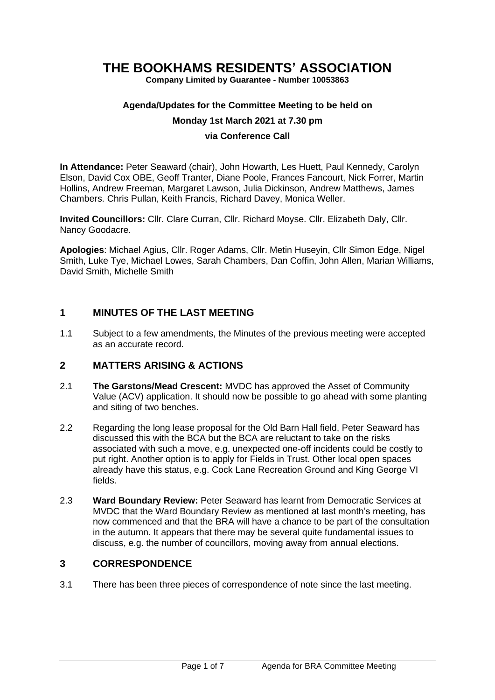# **THE BOOKHAMS RESIDENTS' ASSOCIATION**

**Company Limited by Guarantee - Number 10053863**

#### **Agenda/Updates for the Committee Meeting to be held on**

#### **Monday 1st March 2021 at 7.30 pm**

#### **via Conference Call**

**In Attendance:** Peter Seaward (chair), John Howarth, Les Huett, Paul Kennedy, Carolyn Elson, David Cox OBE, Geoff Tranter, Diane Poole, Frances Fancourt, Nick Forrer, Martin Hollins, Andrew Freeman, Margaret Lawson, Julia Dickinson, Andrew Matthews, James Chambers. Chris Pullan, Keith Francis, Richard Davey, Monica Weller.

**Invited Councillors:** Cllr. Clare Curran, Cllr. Richard Moyse. Cllr. Elizabeth Daly, Cllr. Nancy Goodacre.

**Apologies**: Michael Agius, Cllr. Roger Adams, Cllr. Metin Huseyin, Cllr Simon Edge, Nigel Smith, Luke Tye, Michael Lowes, Sarah Chambers, Dan Coffin, John Allen, Marian Williams, David Smith, Michelle Smith

### **1 MINUTES OF THE LAST MEETING**

1.1 Subject to a few amendments, the Minutes of the previous meeting were accepted as an accurate record.

### **2 MATTERS ARISING & ACTIONS**

- 2.1 **The Garstons/Mead Crescent:** MVDC has approved the Asset of Community Value (ACV) application. It should now be possible to go ahead with some planting and siting of two benches.
- 2.2 Regarding the long lease proposal for the Old Barn Hall field, Peter Seaward has discussed this with the BCA but the BCA are reluctant to take on the risks associated with such a move, e.g. unexpected one-off incidents could be costly to put right. Another option is to apply for Fields in Trust. Other local open spaces already have this status, e.g. Cock Lane Recreation Ground and King George VI fields.
- 2.3 **Ward Boundary Review:** Peter Seaward has learnt from Democratic Services at MVDC that the Ward Boundary Review as mentioned at last month's meeting, has now commenced and that the BRA will have a chance to be part of the consultation in the autumn. It appears that there may be several quite fundamental issues to discuss, e.g. the number of councillors, moving away from annual elections.

### **3 CORRESPONDENCE**

3.1 There has been three pieces of correspondence of note since the last meeting.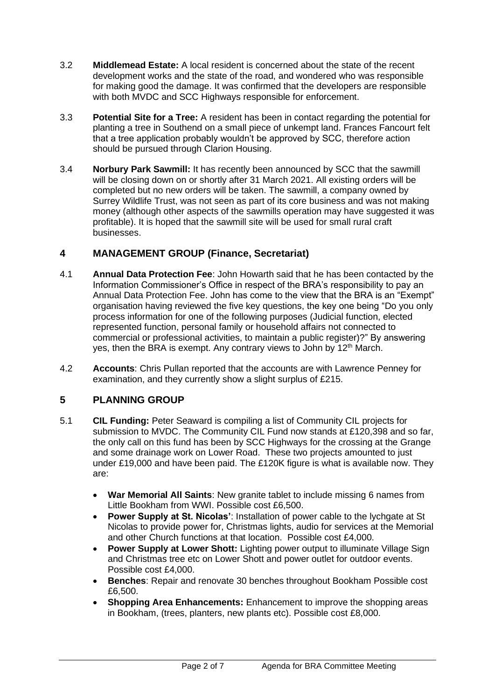- 3.2 **Middlemead Estate:** A local resident is concerned about the state of the recent development works and the state of the road, and wondered who was responsible for making good the damage. It was confirmed that the developers are responsible with both MVDC and SCC Highways responsible for enforcement.
- 3.3 **Potential Site for a Tree:** A resident has been in contact regarding the potential for planting a tree in Southend on a small piece of unkempt land. Frances Fancourt felt that a tree application probably wouldn't be approved by SCC, therefore action should be pursued through Clarion Housing.
- 3.4 **Norbury Park Sawmill:** It has recently been announced by SCC that the sawmill will be closing down on or shortly after 31 March 2021. All existing orders will be completed but no new orders will be taken. The sawmill, a company owned by Surrey Wildlife Trust, was not seen as part of its core business and was not making money (although other aspects of the sawmills operation may have suggested it was profitable). It is hoped that the sawmill site will be used for small rural craft businesses.

# **4 MANAGEMENT GROUP (Finance, Secretariat)**

- 4.1 **Annual Data Protection Fee**: John Howarth said that he has been contacted by the Information Commissioner's Office in respect of the BRA's responsibility to pay an Annual Data Protection Fee. John has come to the view that the BRA is an "Exempt" organisation having reviewed the five key questions, the key one being "Do you only process information for one of the following purposes (Judicial function, elected represented function, personal family or household affairs not connected to commercial or professional activities, to maintain a public register)?" By answering yes, then the BRA is exempt. Any contrary views to John by  $12<sup>th</sup>$  March.
- 4.2 **Accounts**: Chris Pullan reported that the accounts are with Lawrence Penney for examination, and they currently show a slight surplus of £215.

# **5 PLANNING GROUP**

- 5.1 **CIL Funding:** Peter Seaward is compiling a list of Community CIL projects for submission to MVDC. The Community CIL Fund now stands at £120,398 and so far, the only call on this fund has been by SCC Highways for the crossing at the Grange and some drainage work on Lower Road. These two projects amounted to just under £19,000 and have been paid. The £120K figure is what is available now. They are:
	- **War Memorial All Saints**: New granite tablet to include missing 6 names from Little Bookham from WWI. Possible cost £6,500.
	- **Power Supply at St. Nicolas'**: Installation of power cable to the lychgate at St Nicolas to provide power for, Christmas lights, audio for services at the Memorial and other Church functions at that location. Possible cost £4,000.
	- **Power Supply at Lower Shott:** Lighting power output to illuminate Village Sign and Christmas tree etc on Lower Shott and power outlet for outdoor events. Possible cost £4,000.
	- **Benches**: Repair and renovate 30 benches throughout Bookham Possible cost £6,500.
	- **Shopping Area Enhancements:** Enhancement to improve the shopping areas in Bookham, (trees, planters, new plants etc). Possible cost £8,000.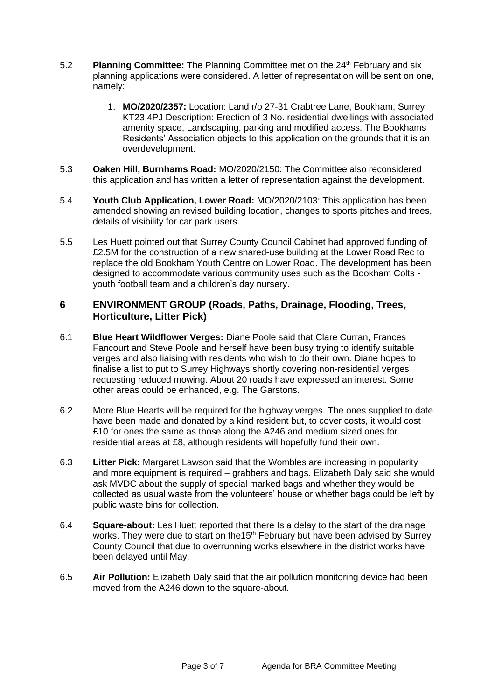- 5.2 **Planning Committee:** The Planning Committee met on the 24th February and six planning applications were considered. A letter of representation will be sent on one, namely:
	- 1. **MO/2020/2357:** Location: Land r/o 27-31 Crabtree Lane, Bookham, Surrey KT23 4PJ Description: Erection of 3 No. residential dwellings with associated amenity space, Landscaping, parking and modified access. The Bookhams Residents' Association objects to this application on the grounds that it is an overdevelopment.
- 5.3 **Oaken Hill, Burnhams Road:** MO/2020/2150: The Committee also reconsidered this application and has written a letter of representation against the development.
- 5.4 **Youth Club Application, Lower Road:** MO/2020/2103: This application has been amended showing an revised building location, changes to sports pitches and trees, details of visibility for car park users.
- 5.5 Les Huett pointed out that Surrey County Council Cabinet had approved funding of £2.5M for the construction of a new shared-use building at the Lower Road Rec to replace the old Bookham Youth Centre on Lower Road. The development has been designed to accommodate various community uses such as the Bookham Colts youth football team and a children's day nursery.

### **6 ENVIRONMENT GROUP (Roads, Paths, Drainage, Flooding, Trees, Horticulture, Litter Pick)**

- 6.1 **Blue Heart Wildflower Verges:** Diane Poole said that Clare Curran, Frances Fancourt and Steve Poole and herself have been busy trying to identify suitable verges and also liaising with residents who wish to do their own. Diane hopes to finalise a list to put to Surrey Highways shortly covering non-residential verges requesting reduced mowing. About 20 roads have expressed an interest. Some other areas could be enhanced, e.g. The Garstons.
- 6.2 More Blue Hearts will be required for the highway verges. The ones supplied to date have been made and donated by a kind resident but, to cover costs, it would cost £10 for ones the same as those along the A246 and medium sized ones for residential areas at £8, although residents will hopefully fund their own.
- 6.3 **Litter Pick:** Margaret Lawson said that the Wombles are increasing in popularity and more equipment is required – grabbers and bags. Elizabeth Daly said she would ask MVDC about the supply of special marked bags and whether they would be collected as usual waste from the volunteers' house or whether bags could be left by public waste bins for collection.
- 6.4 **Square-about:** Les Huett reported that there Is a delay to the start of the drainage works. They were due to start on the 15<sup>th</sup> February but have been advised by Surrey County Council that due to overrunning works elsewhere in the district works have been delayed until May.
- 6.5 **Air Pollution:** Elizabeth Daly said that the air pollution monitoring device had been moved from the A246 down to the square-about.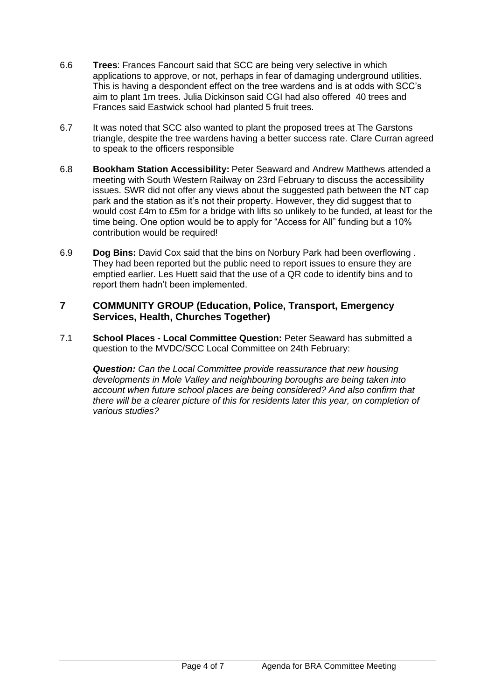- 6.6 **Trees**: Frances Fancourt said that SCC are being very selective in which applications to approve, or not, perhaps in fear of damaging underground utilities. This is having a despondent effect on the tree wardens and is at odds with SCC's aim to plant 1m trees. Julia Dickinson said CGI had also offered 40 trees and Frances said Eastwick school had planted 5 fruit trees.
- 6.7 It was noted that SCC also wanted to plant the proposed trees at The Garstons triangle, despite the tree wardens having a better success rate. Clare Curran agreed to speak to the officers responsible
- 6.8 **Bookham Station Accessibility:** Peter Seaward and Andrew Matthews attended a meeting with South Western Railway on 23rd February to discuss the accessibility issues. SWR did not offer any views about the suggested path between the NT cap park and the station as it's not their property. However, they did suggest that to would cost £4m to £5m for a bridge with lifts so unlikely to be funded, at least for the time being. One option would be to apply for "Access for All" funding but a 10% contribution would be required!
- 6.9 **Dog Bins:** David Cox said that the bins on Norbury Park had been overflowing . They had been reported but the public need to report issues to ensure they are emptied earlier. Les Huett said that the use of a QR code to identify bins and to report them hadn't been implemented.

### **7 COMMUNITY GROUP (Education, Police, Transport, Emergency Services, Health, Churches Together)**

7.1 **School Places - Local Committee Question:** Peter Seaward has submitted a question to the MVDC/SCC Local Committee on 24th February:

*Question: Can the Local Committee provide reassurance that new housing developments in Mole Valley and neighbouring boroughs are being taken into account when future school places are being considered? And also confirm that there will be a clearer picture of this for residents later this year, on completion of various studies?*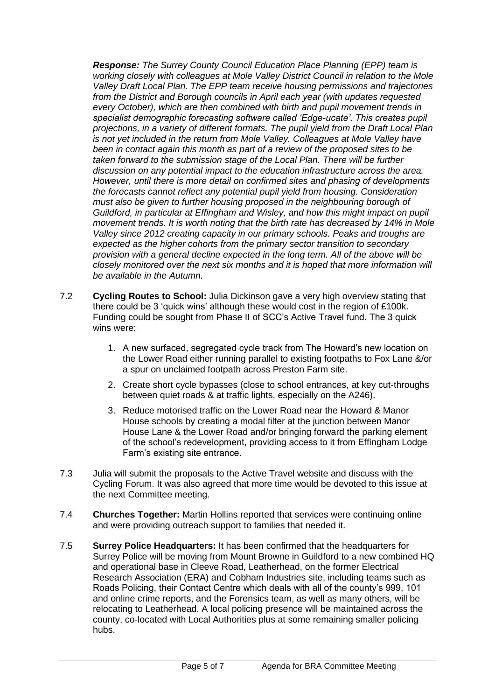*Response: The Surrey County Council Education Place Planning (EPP) team is working closely with colleagues at Mole Valley District Council in relation to the Mole Valley Draft Local Plan. The EPP team receive housing permissions and trajectories from the District and Borough councils in April each year (with updates requested every October), which are then combined with birth and pupil movement trends in specialist demographic forecasting software called 'Edge-ucate'. This creates pupil projections, in a variety of different formats. The pupil yield from the Draft Local Plan is not yet included in the return from Mole Valley. Colleagues at Mole Valley have been in contact again this month as part of a review of the proposed sites to be taken forward to the submission stage of the Local Plan. There will be further discussion on any potential impact to the education infrastructure across the area. However, until there is more detail on confirmed sites and phasing of developments the forecasts cannot reflect any potential pupil yield from housing. Consideration must also be given to further housing proposed in the neighbouring borough of Guildford, in particular at Effingham and Wisley, and how this might impact on pupil movement trends. It is worth noting that the birth rate has decreased by 14% in Mole Valley since 2012 creating capacity in our primary schools. Peaks and troughs are expected as the higher cohorts from the primary sector transition to secondary provision with a general decline expected in the long term. All of the above will be closely monitored over the next six months and it is hoped that more information will be available in the Autumn.*

- 7.2 **Cycling Routes to School:** Julia Dickinson gave a very high overview stating that there could be 3 'quick wins' although these would cost in the region of £100k. Funding could be sought from Phase II of SCC's Active Travel fund. The 3 quick wins were:
	- 1. A new surfaced, segregated cycle track from The Howard's new location on the Lower Road either running parallel to existing footpaths to Fox Lane &/or a spur on unclaimed footpath across Preston Farm site.
	- 2. Create short cycle bypasses (close to school entrances, at key cut-throughs between quiet roads & at traffic lights, especially on the A246).
	- 3. Reduce motorised traffic on the Lower Road near the Howard & Manor House schools by creating a modal filter at the junction between Manor House Lane & the Lower Road and/or bringing forward the parking element of the school's redevelopment, providing access to it from Effingham Lodge Farm's existing site entrance.
- 7.3 Julia will submit the proposals to the Active Travel website and discuss with the Cycling Forum. It was also agreed that more time would be devoted to this issue at the next Committee meeting.
- 7.4 **Churches Together:** Martin Hollins reported that services were continuing online and were providing outreach support to families that needed it.
- 7.5 **Surrey Police Headquarters:** It has been confirmed that the headquarters for Surrey Police will be moving from Mount Browne in Guildford to a new combined HQ and operational base in Cleeve Road, Leatherhead, on the former Electrical Research Association (ERA) and Cobham Industries site, including teams such as Roads Policing, their Contact Centre which deals with all of the county's 999, 101 and online crime reports, and the Forensics team, as well as many others, will be relocating to Leatherhead. A local policing presence will be maintained across the county, co-located with Local Authorities plus at some remaining smaller policing hubs.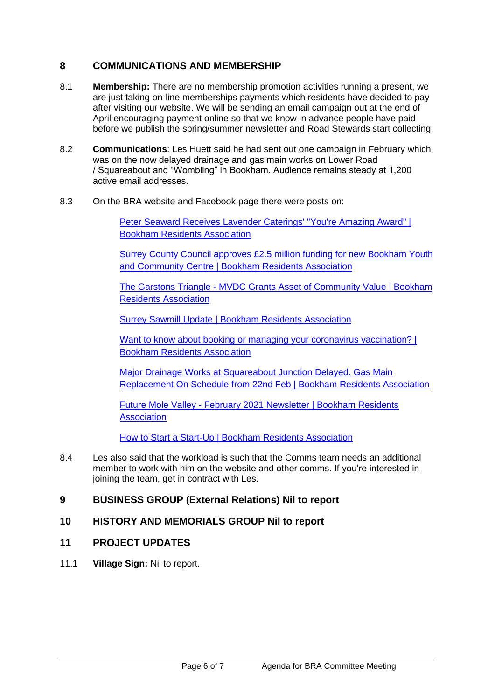### **8 COMMUNICATIONS AND MEMBERSHIP**

- 8.1 **Membership:** There are no membership promotion activities running a present, we are just taking on-line memberships payments which residents have decided to pay after visiting our website. We will be sending an email campaign out at the end of April encouraging payment online so that we know in advance people have paid before we publish the spring/summer newsletter and Road Stewards start collecting.
- 8.2 **Communications**: Les Huett said he had sent out one campaign in February which was on the now delayed drainage and gas main works on Lower Road / Squareabout and "Wombling" in Bookham. Audience remains steady at 1,200 active email addresses.
- 8.3 On the BRA website and Facebook page there were posts on:

[Peter Seaward Receives Lavender Caterings' "You're Amazing Award" |](https://www.bookhamresidents.org.uk/peter-seward-bra-chairman-receives-lavender-catering-your-amazing-award)  [Bookham Residents Association](https://www.bookhamresidents.org.uk/peter-seward-bra-chairman-receives-lavender-catering-your-amazing-award)

[Surrey County Council approves £2.5 million funding for new Bookham Youth](https://www.bookhamresidents.org.uk/county-council-approves-2-5-million-funding-for-new-bookham-youth-and-community-centre)  [and Community Centre | Bookham Residents Association](https://www.bookhamresidents.org.uk/county-council-approves-2-5-million-funding-for-new-bookham-youth-and-community-centre)

The Garstons Triangle - [MVDC Grants Asset of Community Value | Bookham](https://www.bookhamresidents.org.uk/the-garstons-triangle-mvdc-grants-asset-of-community-value)  [Residents Association](https://www.bookhamresidents.org.uk/the-garstons-triangle-mvdc-grants-asset-of-community-value)

[Surrey Sawmill Update | Bookham Residents Association](https://www.bookhamresidents.org.uk/surrey-sawmill)

Want to know about booking or managing your coronavirus vaccination? | [Bookham Residents Association](https://www.bookhamresidents.org.uk/want-to-know-about-booking-or-managing-your-coronavirus-vaccination)

[Major Drainage Works at Squareabout Junction Delayed. Gas Main](https://www.bookhamresidents.org.uk/drainage-works-on-church-road-and-lower-road)  [Replacement On Schedule from 22nd Feb | Bookham Residents Association](https://www.bookhamresidents.org.uk/drainage-works-on-church-road-and-lower-road)

Future Mole Valley - [February 2021 Newsletter | Bookham Residents](https://www.bookhamresidents.org.uk/future-mole-valley-february-2021-newsletter)  **[Association](https://www.bookhamresidents.org.uk/future-mole-valley-february-2021-newsletter)** 

[How to Start a Start-Up | Bookham Residents Association](https://www.bookhamresidents.org.uk/how-to-start-a-start-up)

8.4 Les also said that the workload is such that the Comms team needs an additional member to work with him on the website and other comms. If you're interested in joining the team, get in contract with Les.

### **9 BUSINESS GROUP (External Relations) Nil to report**

### **10 HISTORY AND MEMORIALS GROUP Nil to report**

- **11 PROJECT UPDATES**
- 11.1 **Village Sign:** Nil to report.